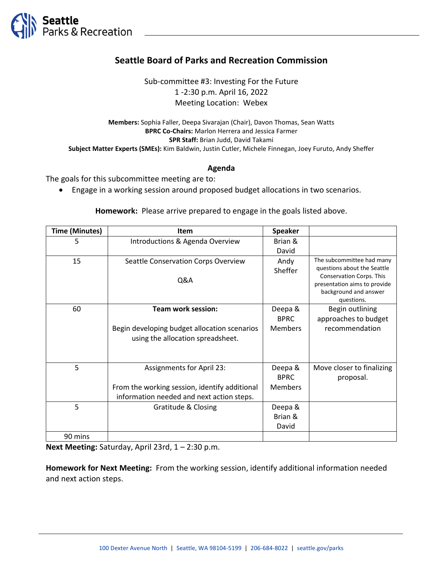

## **Seattle Board of Parks and Recreation Commission**

Sub-committee #3: Investing For the Future 1 -2:30 p.m. April 16, 2022 Meeting Location: Webex

**Members:** Sophia Faller, Deepa Sivarajan (Chair), Davon Thomas, Sean Watts **BPRC Co-Chairs:** Marlon Herrera and Jessica Farmer **SPR Staff:** Brian Judd, David Takami **Subject Matter Experts (SMEs):** Kim Baldwin, Justin Cutler, Michele Finnegan, Joey Furuto, Andy Sheffer

## **Agenda**

The goals for this subcommittee meeting are to:

• Engage in a working session around proposed budget allocations in two scenarios.

**Homework:** Please arrive prepared to engage in the goals listed above.

| <b>Time (Minutes)</b> | <b>Item</b>                                   | <b>Speaker</b> |                                                                |
|-----------------------|-----------------------------------------------|----------------|----------------------------------------------------------------|
| 5                     | Introductions & Agenda Overview               | Brian &        |                                                                |
|                       |                                               | David          |                                                                |
| 15                    | Seattle Conservation Corps Overview           | Andy           | The subcommittee had many                                      |
|                       |                                               | Sheffer        | questions about the Seattle<br><b>Conservation Corps. This</b> |
|                       | Q&A                                           |                | presentation aims to provide                                   |
|                       |                                               |                | background and answer                                          |
|                       |                                               |                | questions.                                                     |
| 60                    | <b>Team work session:</b>                     | Deepa &        | Begin outlining                                                |
|                       |                                               | <b>BPRC</b>    | approaches to budget                                           |
|                       | Begin developing budget allocation scenarios  | <b>Members</b> | recommendation                                                 |
|                       | using the allocation spreadsheet.             |                |                                                                |
|                       |                                               |                |                                                                |
|                       |                                               |                |                                                                |
| 5                     | <b>Assignments for April 23:</b>              | Deepa &        | Move closer to finalizing                                      |
|                       |                                               | <b>BPRC</b>    | proposal.                                                      |
|                       | From the working session, identify additional | <b>Members</b> |                                                                |
|                       | information needed and next action steps.     |                |                                                                |
| 5                     | Gratitude & Closing                           | Deepa &        |                                                                |
|                       |                                               | Brian &        |                                                                |
|                       |                                               | David          |                                                                |
| 90 mins               |                                               |                |                                                                |

**Next Meeting:** Saturday, April 23rd, 1 – 2:30 p.m.

**Homework for Next Meeting:** From the working session, identify additional information needed and next action steps.